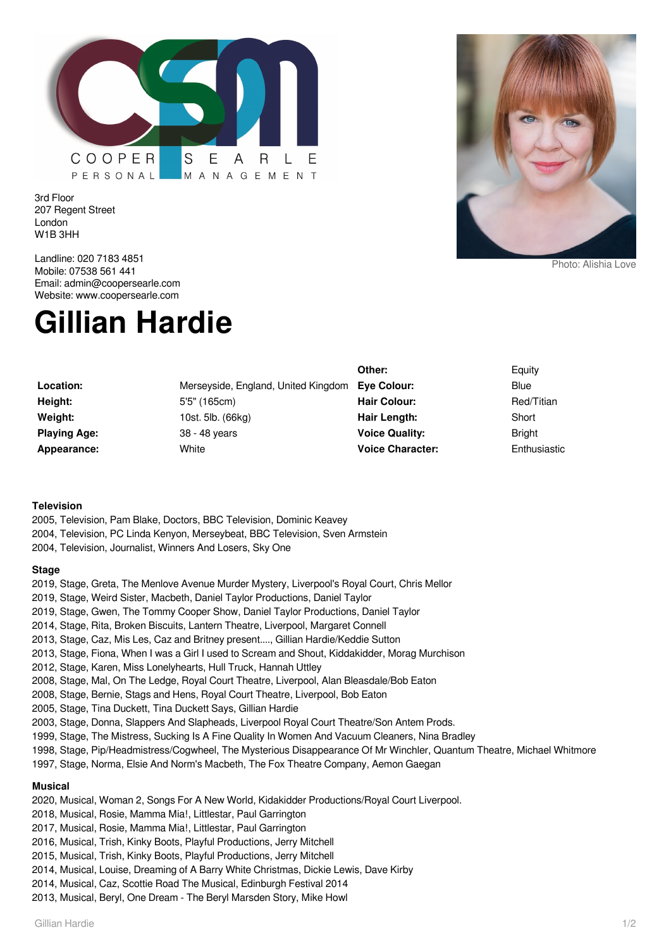

3rd Floor 207 Regent Street London W1B 3HH

Landline: 020 7183 4851 Mobile: 07538 561 441 Email: admin@coopersearle.com Website: www.coopersearle.com

# **Gillian Hardie**

|                     |                                     | Other:                  | Equity        |
|---------------------|-------------------------------------|-------------------------|---------------|
| Location:           | Merseyside, England, United Kingdom | Eve Colour:             | Blue          |
| Height:             | 5'5" (165cm)                        | <b>Hair Colour:</b>     | Red/Titian    |
| Weight:             | 10st. 5lb. (66kg)                   | Hair Length:            | Short         |
| <b>Playing Age:</b> | 38 - 48 years                       | <b>Voice Quality:</b>   | <b>Bright</b> |
| Appearance:         | White                               | <b>Voice Character:</b> | Enthusiastic  |

#### **Television**

- 2005, Television, Pam Blake, Doctors, BBC Television, Dominic Keavey 2004, Television, PC Linda Kenyon, Merseybeat, BBC Television, Sven Armstein
- 2004, Television, Journalist, Winners And Losers, Sky One

#### **Stage**

- 2019, Stage, Greta, The Menlove Avenue Murder Mystery, Liverpool's Royal Court, Chris Mellor
- 2019, Stage, Weird Sister, Macbeth, Daniel Taylor Productions, Daniel Taylor
- 2019, Stage, Gwen, The Tommy Cooper Show, Daniel Taylor Productions, Daniel Taylor
- 2014, Stage, Rita, Broken Biscuits, Lantern Theatre, Liverpool, Margaret Connell
- 2013, Stage, Caz, Mis Les, Caz and Britney present...., Gillian Hardie/Keddie Sutton
- 2013, Stage, Fiona, When I was a Girl I used to Scream and Shout, Kiddakidder, Morag Murchison
- 2012, Stage, Karen, Miss Lonelyhearts, Hull Truck, Hannah Uttley
- 2008, Stage, Mal, On The Ledge, Royal Court Theatre, Liverpool, Alan Bleasdale/Bob Eaton
- 2008, Stage, Bernie, Stags and Hens, Royal Court Theatre, Liverpool, Bob Eaton
- 2005, Stage, Tina Duckett, Tina Duckett Says, Gillian Hardie
- 2003, Stage, Donna, Slappers And Slapheads, Liverpool Royal Court Theatre/Son Antem Prods.
- 1999, Stage, The Mistress, Sucking Is A Fine Quality In Women And Vacuum Cleaners, Nina Bradley
- 1998, Stage, Pip/Headmistress/Cogwheel, The Mysterious Disappearance Of Mr Winchler, Quantum Theatre, Michael Whitmore
- 1997, Stage, Norma, Elsie And Norm's Macbeth, The Fox Theatre Company, Aemon Gaegan

# **Musical**

- 2020, Musical, Woman 2, Songs For A New World, Kidakidder Productions/Royal Court Liverpool.
- 2018, Musical, Rosie, Mamma Mia!, Littlestar, Paul Garrington
- 2017, Musical, Rosie, Mamma Mia!, Littlestar, Paul Garrington
- 2016, Musical, Trish, Kinky Boots, Playful Productions, Jerry Mitchell
- 2015, Musical, Trish, Kinky Boots, Playful Productions, Jerry Mitchell
- 2014, Musical, Louise, Dreaming of A Barry White Christmas, Dickie Lewis, Dave Kirby
- 2014, Musical, Caz, Scottie Road The Musical, Edinburgh Festival 2014
- 2013, Musical, Beryl, One Dream The Beryl Marsden Story, Mike Howl



Photo: Alishia Love